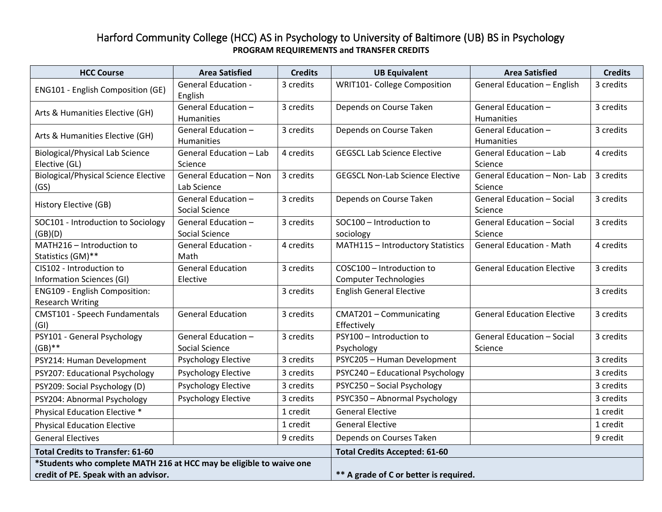## Harford Community College (HCC) AS in Psychology to University of Baltimore (UB) BS in Psychology **PROGRAM REQUIREMENTS and TRANSFER CREDITS**

| <b>HCC Course</b>                                                   | <b>Area Satisfied</b>                 | <b>Credits</b> | <b>UB Equivalent</b>                   | <b>Area Satisfied</b>                        | <b>Credits</b> |
|---------------------------------------------------------------------|---------------------------------------|----------------|----------------------------------------|----------------------------------------------|----------------|
| ENG101 - English Composition (GE)                                   | <b>General Education -</b><br>English | 3 credits      | <b>WRIT101- College Composition</b>    | General Education - English                  | 3 credits      |
| Arts & Humanities Elective (GH)                                     | General Education -                   | 3 credits      | Depends on Course Taken                | General Education -                          | 3 credits      |
|                                                                     | <b>Humanities</b>                     |                |                                        | <b>Humanities</b>                            |                |
| Arts & Humanities Elective (GH)                                     | General Education -                   | 3 credits      | Depends on Course Taken                | General Education -                          | 3 credits      |
|                                                                     | <b>Humanities</b>                     |                |                                        | <b>Humanities</b>                            |                |
| <b>Biological/Physical Lab Science</b>                              | General Education - Lab               | 4 credits      | <b>GEGSCL Lab Science Elective</b>     | General Education - Lab                      | 4 credits      |
| Elective (GL)                                                       | Science                               |                |                                        | Science                                      |                |
| <b>Biological/Physical Science Elective</b>                         | <b>General Education - Non</b>        | 3 credits      | <b>GEGSCL Non-Lab Science Elective</b> | General Education - Non-Lab                  | 3 credits      |
| (GS)                                                                | Lab Science<br>General Education -    | 3 credits      |                                        | Science<br><b>General Education - Social</b> | 3 credits      |
| History Elective (GB)                                               | Social Science                        |                | Depends on Course Taken                | Science                                      |                |
| SOC101 - Introduction to Sociology                                  | General Education -                   | 3 credits      | SOC100 - Introduction to               | <b>General Education - Social</b>            | 3 credits      |
| (GB)(D)                                                             | Social Science                        |                | sociology                              | Science                                      |                |
| MATH216 - Introduction to                                           | <b>General Education -</b>            | 4 credits      | MATH115 - Introductory Statistics      | <b>General Education - Math</b>              | 4 credits      |
| Statistics (GM)**                                                   | Math                                  |                |                                        |                                              |                |
| CIS102 - Introduction to                                            | <b>General Education</b>              | 3 credits      | COSC100 - Introduction to              | <b>General Education Elective</b>            | 3 credits      |
| Information Sciences (GI)                                           | Elective                              |                | <b>Computer Technologies</b>           |                                              |                |
| ENG109 - English Composition:                                       |                                       | 3 credits      | <b>English General Elective</b>        |                                              | 3 credits      |
| <b>Research Writing</b>                                             |                                       |                |                                        |                                              |                |
| CMST101 - Speech Fundamentals                                       | <b>General Education</b>              | 3 credits      | CMAT201 - Communicating                | <b>General Education Elective</b>            | 3 credits      |
| (GI)                                                                |                                       |                | Effectively                            |                                              |                |
| PSY101 - General Psychology                                         | General Education -                   | 3 credits      | PSY100 - Introduction to               | <b>General Education - Social</b>            | 3 credits      |
| $(GB)$ **                                                           | Social Science                        |                | Psychology                             | Science                                      |                |
| PSY214: Human Development                                           | <b>Psychology Elective</b>            | 3 credits      | PSYC205 - Human Development            |                                              | 3 credits      |
| PSY207: Educational Psychology                                      | <b>Psychology Elective</b>            | 3 credits      | PSYC240 - Educational Psychology       |                                              | 3 credits      |
| PSY209: Social Psychology (D)                                       | <b>Psychology Elective</b>            | 3 credits      | PSYC250 - Social Psychology            |                                              | 3 credits      |
| PSY204: Abnormal Psychology                                         | <b>Psychology Elective</b>            | 3 credits      | PSYC350 - Abnormal Psychology          |                                              | 3 credits      |
| Physical Education Elective *                                       |                                       | 1 credit       | <b>General Elective</b>                |                                              | 1 credit       |
| <b>Physical Education Elective</b>                                  |                                       | 1 credit       | <b>General Elective</b>                |                                              | 1 credit       |
| <b>General Electives</b>                                            |                                       | 9 credits      | Depends on Courses Taken               |                                              | 9 credit       |
| <b>Total Credits to Transfer: 61-60</b>                             |                                       |                | <b>Total Credits Accepted: 61-60</b>   |                                              |                |
| *Students who complete MATH 216 at HCC may be eligible to waive one |                                       |                |                                        |                                              |                |
| credit of PE. Speak with an advisor.                                |                                       |                | ** A grade of C or better is required. |                                              |                |